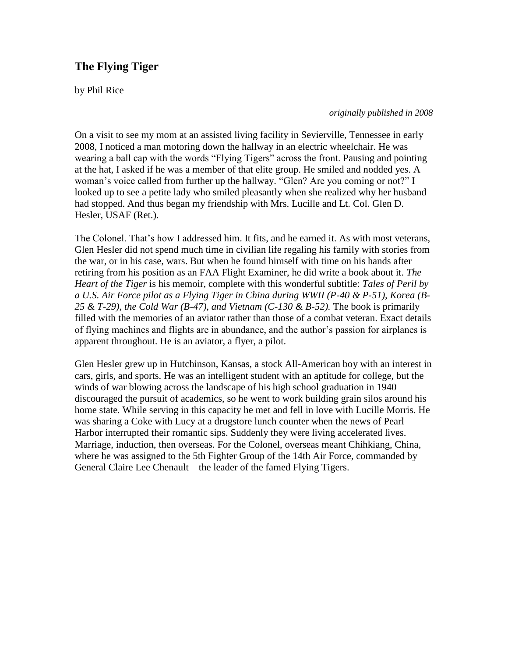## **The Flying Tiger**

by Phil Rice

*originally published in 2008*

On a visit to see my mom at an assisted living facility in Sevierville, Tennessee in early 2008, I noticed a man motoring down the hallway in an electric wheelchair. He was wearing a ball cap with the words "Flying Tigers" across the front. Pausing and pointing at the hat, I asked if he was a member of that elite group. He smiled and nodded yes. A woman's voice called from further up the hallway. "Glen? Are you coming or not?" I looked up to see a petite lady who smiled pleasantly when she realized why her husband had stopped. And thus began my friendship with Mrs. Lucille and Lt. Col. Glen D. Hesler, USAF (Ret.).

The Colonel. That's how I addressed him. It fits, and he earned it. As with most veterans, Glen Hesler did not spend much time in civilian life regaling his family with stories from the war, or in his case, wars. But when he found himself with time on his hands after retiring from his position as an FAA Flight Examiner, he did write a book about it. *The Heart of the Tiger* is his memoir, complete with this wonderful subtitle: *Tales of Peril by a U.S. Air Force pilot as a Flying Tiger in China during WWII (P-40 & P-51), Korea (B-*25 & T-29), the Cold War (B-47), and Vietnam (C-130 & B-52). The book is primarily filled with the memories of an aviator rather than those of a combat veteran. Exact details of flying machines and flights are in abundance, and the author's passion for airplanes is apparent throughout. He is an aviator, a flyer, a pilot.

Glen Hesler grew up in Hutchinson, Kansas, a stock All-American boy with an interest in cars, girls, and sports. He was an intelligent student with an aptitude for college, but the winds of war blowing across the landscape of his high school graduation in 1940 discouraged the pursuit of academics, so he went to work building grain silos around his home state. While serving in this capacity he met and fell in love with Lucille Morris. He was sharing a Coke with Lucy at a drugstore lunch counter when the news of Pearl Harbor interrupted their romantic sips. Suddenly they were living accelerated lives. Marriage, induction, then overseas. For the Colonel, overseas meant Chihkiang, China, where he was assigned to the 5th Fighter Group of the 14th Air Force, commanded by General Claire Lee Chenault—the leader of the famed Flying Tigers.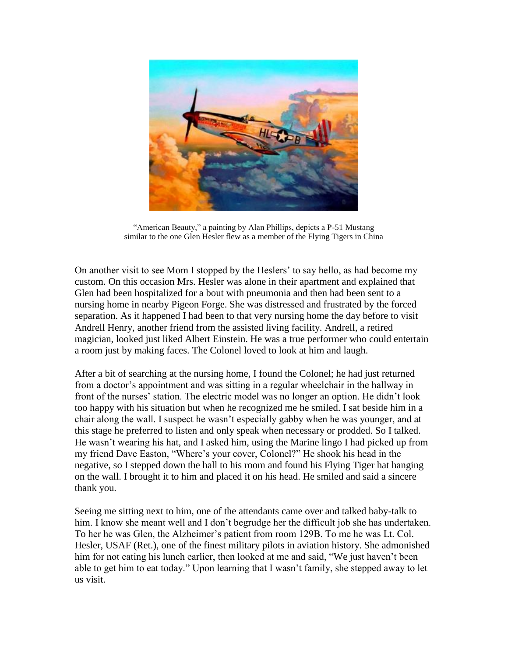

"American Beauty," a painting by Alan Phillips, depicts a P-51 Mustang similar to the one Glen Hesler flew as a member of the Flying Tigers in China

On another visit to see Mom I stopped by the Heslers' to say hello, as had become my custom. On this occasion Mrs. Hesler was alone in their apartment and explained that Glen had been hospitalized for a bout with pneumonia and then had been sent to a nursing home in nearby Pigeon Forge. She was distressed and frustrated by the forced separation. As it happened I had been to that very nursing home the day before to visit Andrell Henry, another friend from the assisted living facility. Andrell, a retired magician, looked just liked Albert Einstein. He was a true performer who could entertain a room just by making faces. The Colonel loved to look at him and laugh.

After a bit of searching at the nursing home, I found the Colonel; he had just returned from a doctor's appointment and was sitting in a regular wheelchair in the hallway in front of the nurses' station. The electric model was no longer an option. He didn't look too happy with his situation but when he recognized me he smiled. I sat beside him in a chair along the wall. I suspect he wasn't especially gabby when he was younger, and at this stage he preferred to listen and only speak when necessary or prodded. So I talked. He wasn't wearing his hat, and I asked him, using the Marine lingo I had picked up from my friend Dave Easton, "Where's your cover, Colonel?" He shook his head in the negative, so I stepped down the hall to his room and found his Flying Tiger hat hanging on the wall. I brought it to him and placed it on his head. He smiled and said a sincere thank you.

Seeing me sitting next to him, one of the attendants came over and talked baby-talk to him. I know she meant well and I don't begrudge her the difficult job she has undertaken. To her he was Glen, the Alzheimer's patient from room 129B. To me he was Lt. Col. Hesler, USAF (Ret.), one of the finest military pilots in aviation history. She admonished him for not eating his lunch earlier, then looked at me and said, "We just haven't been able to get him to eat today." Upon learning that I wasn't family, she stepped away to let us visit.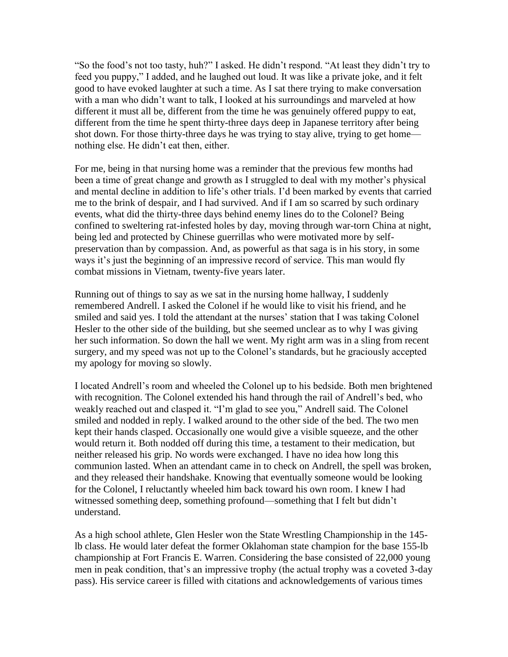"So the food's not too tasty, huh?" I asked. He didn't respond. "At least they didn't try to feed you puppy," I added, and he laughed out loud. It was like a private joke, and it felt good to have evoked laughter at such a time. As I sat there trying to make conversation with a man who didn't want to talk, I looked at his surroundings and marveled at how different it must all be, different from the time he was genuinely offered puppy to eat, different from the time he spent thirty-three days deep in Japanese territory after being shot down. For those thirty-three days he was trying to stay alive, trying to get home nothing else. He didn't eat then, either.

For me, being in that nursing home was a reminder that the previous few months had been a time of great change and growth as I struggled to deal with my mother's physical and mental decline in addition to life's other trials. I'd been marked by events that carried me to the brink of despair, and I had survived. And if I am so scarred by such ordinary events, what did the thirty-three days behind enemy lines do to the Colonel? Being confined to sweltering rat-infested holes by day, moving through war-torn China at night, being led and protected by Chinese guerrillas who were motivated more by selfpreservation than by compassion. And, as powerful as that saga is in his story, in some ways it's just the beginning of an impressive record of service. This man would fly combat missions in Vietnam, twenty-five years later.

Running out of things to say as we sat in the nursing home hallway, I suddenly remembered Andrell. I asked the Colonel if he would like to visit his friend, and he smiled and said yes. I told the attendant at the nurses' station that I was taking Colonel Hesler to the other side of the building, but she seemed unclear as to why I was giving her such information. So down the hall we went. My right arm was in a sling from recent surgery, and my speed was not up to the Colonel's standards, but he graciously accepted my apology for moving so slowly.

I located Andrell's room and wheeled the Colonel up to his bedside. Both men brightened with recognition. The Colonel extended his hand through the rail of Andrell's bed, who weakly reached out and clasped it. "I'm glad to see you," Andrell said. The Colonel smiled and nodded in reply. I walked around to the other side of the bed. The two men kept their hands clasped. Occasionally one would give a visible squeeze, and the other would return it. Both nodded off during this time, a testament to their medication, but neither released his grip. No words were exchanged. I have no idea how long this communion lasted. When an attendant came in to check on Andrell, the spell was broken, and they released their handshake. Knowing that eventually someone would be looking for the Colonel, I reluctantly wheeled him back toward his own room. I knew I had witnessed something deep, something profound—something that I felt but didn't understand.

As a high school athlete, Glen Hesler won the State Wrestling Championship in the 145 lb class. He would later defeat the former Oklahoman state champion for the base 155-lb championship at Fort Francis E. Warren. Considering the base consisted of 22,000 young men in peak condition, that's an impressive trophy (the actual trophy was a coveted 3-day pass). His service career is filled with citations and acknowledgements of various times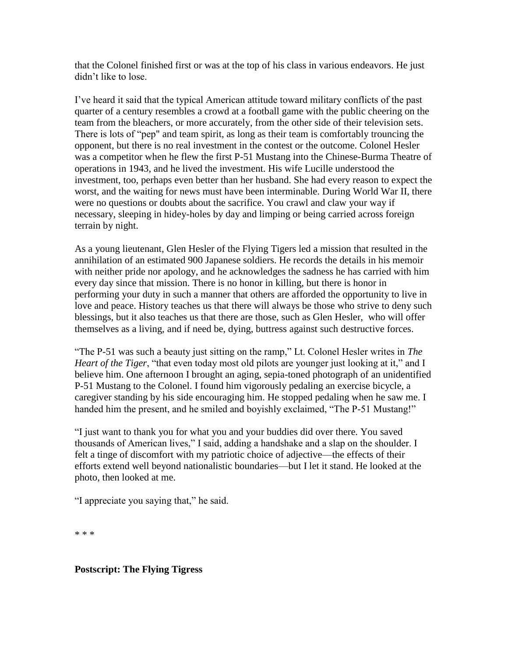that the Colonel finished first or was at the top of his class in various endeavors. He just didn't like to lose.

I've heard it said that the typical American attitude toward military conflicts of the past quarter of a century resembles a crowd at a football game with the public cheering on the team from the bleachers, or more accurately, from the other side of their television sets. There is lots of "pep" and team spirit, as long as their team is comfortably trouncing the opponent, but there is no real investment in the contest or the outcome. Colonel Hesler was a competitor when he flew the first P-51 Mustang into the Chinese-Burma Theatre of operations in 1943, and he lived the investment. His wife Lucille understood the investment, too, perhaps even better than her husband. She had every reason to expect the worst, and the waiting for news must have been interminable. During World War II, there were no questions or doubts about the sacrifice. You crawl and claw your way if necessary, sleeping in hidey-holes by day and limping or being carried across foreign terrain by night.

As a young lieutenant, Glen Hesler of the Flying Tigers led a mission that resulted in the annihilation of an estimated 900 Japanese soldiers. He records the details in his memoir with neither pride nor apology, and he acknowledges the sadness he has carried with him every day since that mission. There is no honor in killing, but there is honor in performing your duty in such a manner that others are afforded the opportunity to live in love and peace. History teaches us that there will always be those who strive to deny such blessings, but it also teaches us that there are those, such as Glen Hesler, who will offer themselves as a living, and if need be, dying, buttress against such destructive forces.

"The P-51 was such a beauty just sitting on the ramp," Lt. Colonel Hesler writes in *The Heart of the Tiger*, "that even today most old pilots are younger just looking at it," and I believe him. One afternoon I brought an aging, sepia-toned photograph of an unidentified P-51 Mustang to the Colonel. I found him vigorously pedaling an exercise bicycle, a caregiver standing by his side encouraging him. He stopped pedaling when he saw me. I handed him the present, and he smiled and boyishly exclaimed, "The P-51 Mustang!"

"I just want to thank you for what you and your buddies did over there. You saved thousands of American lives," I said, adding a handshake and a slap on the shoulder. I felt a tinge of discomfort with my patriotic choice of adjective—the effects of their efforts extend well beyond nationalistic boundaries—but I let it stand. He looked at the photo, then looked at me.

"I appreciate you saying that," he said.

\* \* \*

## **Postscript: The Flying Tigress**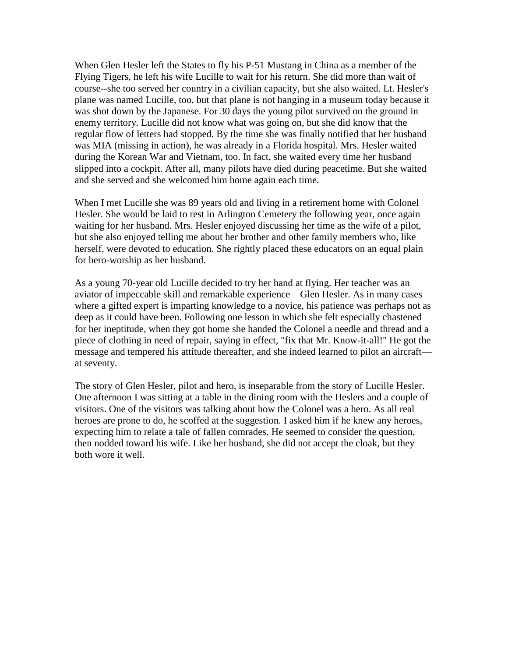When Glen Hesler left the States to fly his P-51 Mustang in China as a member of the Flying Tigers, he left his wife Lucille to wait for his return. She did more than wait of course--she too served her country in a civilian capacity, but she also waited. Lt. Hesler's plane was named Lucille, too, but that plane is not hanging in a museum today because it was shot down by the Japanese. For 30 days the young pilot survived on the ground in enemy territory. Lucille did not know what was going on, but she did know that the regular flow of letters had stopped. By the time she was finally notified that her husband was MIA (missing in action), he was already in a Florida hospital. Mrs. Hesler waited during the Korean War and Vietnam, too. In fact, she waited every time her husband slipped into a cockpit. After all, many pilots have died during peacetime. But she waited and she served and she welcomed him home again each time.

When I met Lucille she was 89 years old and living in a retirement home with Colonel Hesler. She would be laid to rest in Arlington Cemetery the following year, once again waiting for her husband. Mrs. Hesler enjoyed discussing her time as the wife of a pilot, but she also enjoyed telling me about her brother and other family members who, like herself, were devoted to education. She rightly placed these educators on an equal plain for hero-worship as her husband.

As a young 70-year old Lucille decided to try her hand at flying. Her teacher was an aviator of impeccable skill and remarkable experience—Glen Hesler. As in many cases where a gifted expert is imparting knowledge to a novice, his patience was perhaps not as deep as it could have been. Following one lesson in which she felt especially chastened for her ineptitude, when they got home she handed the Colonel a needle and thread and a piece of clothing in need of repair, saying in effect, "fix that Mr. Know-it-all!" He got the message and tempered his attitude thereafter, and she indeed learned to pilot an aircraft at seventy.

The story of Glen Hesler, pilot and hero, is inseparable from the story of Lucille Hesler. One afternoon I was sitting at a table in the dining room with the Heslers and a couple of visitors. One of the visitors was talking about how the Colonel was a hero. As all real heroes are prone to do, he scoffed at the suggestion. I asked him if he knew any heroes, expecting him to relate a tale of fallen comrades. He seemed to consider the question, then nodded toward his wife. Like her husband, she did not accept the cloak, but they both wore it well.